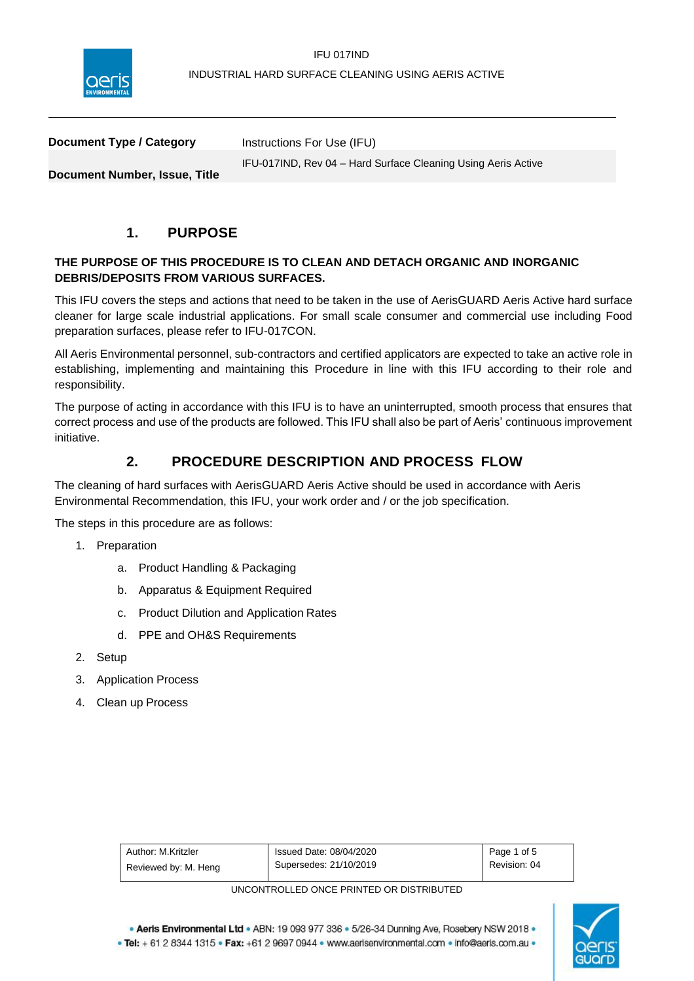

| Document Type / Category             | Instructions For Use (IFU)                                    |
|--------------------------------------|---------------------------------------------------------------|
| <b>Document Number, Issue, Title</b> | IFU-017IND, Rev 04 - Hard Surface Cleaning Using Aeris Active |
|                                      |                                                               |

# **1. PURPOSE**

## **THE PURPOSE OF THIS PROCEDURE IS TO CLEAN AND DETACH ORGANIC AND INORGANIC DEBRIS/DEPOSITS FROM VARIOUS SURFACES.**

This IFU covers the steps and actions that need to be taken in the use of AerisGUARD Aeris Active hard surface cleaner for large scale industrial applications. For small scale consumer and commercial use including Food preparation surfaces, please refer to IFU-017CON.

All Aeris Environmental personnel, sub-contractors and certified applicators are expected to take an active role in establishing, implementing and maintaining this Procedure in line with this IFU according to their role and responsibility.

The purpose of acting in accordance with this IFU is to have an uninterrupted, smooth process that ensures that correct process and use of the products are followed. This IFU shall also be part of Aeris' continuous improvement initiative.

# **2. PROCEDURE DESCRIPTION AND PROCESS FLOW**

The cleaning of hard surfaces with AerisGUARD Aeris Active should be used in accordance with Aeris Environmental Recommendation, this IFU, your work order and / or the job specification.

The steps in this procedure are as follows:

- 1. Preparation
	- a. Product Handling & Packaging
	- b. Apparatus & Equipment Required
	- c. Product Dilution and Application Rates
	- d. PPE and OH&S Requirements
- 2. Setup
- 3. Application Process
- 4. Clean up Process

| Author: M.Kritzler   | Issued Date: 08/04/2020 | Page 1 of 5  |
|----------------------|-------------------------|--------------|
| Reviewed by: M. Heng | Supersedes: 21/10/2019  | Revision: 04 |

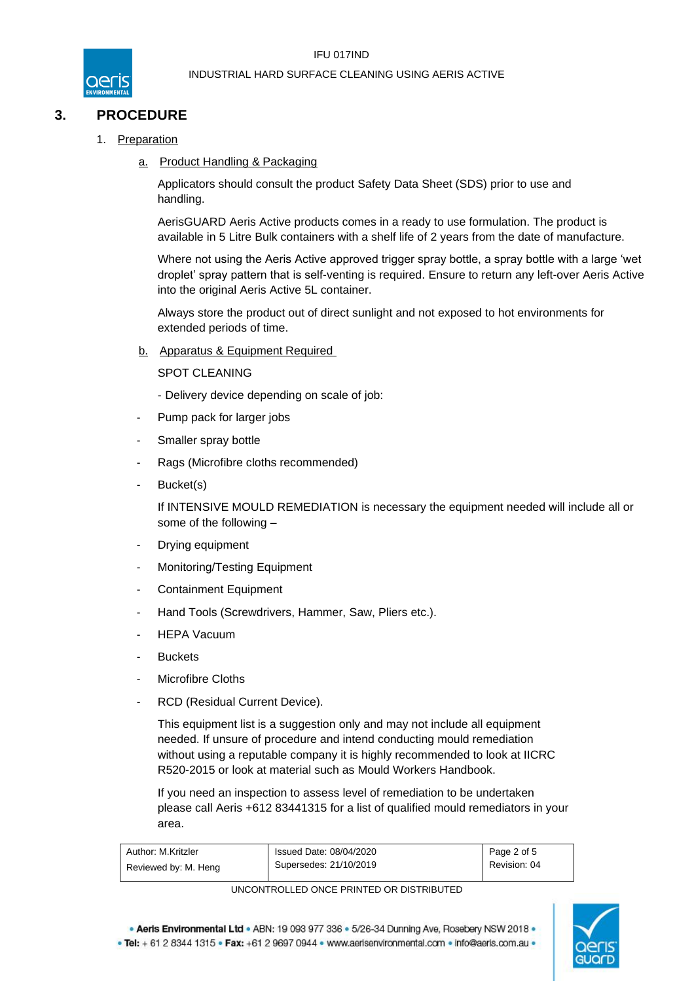

# **3. PROCEDURE**

- 1. Preparation
	- a. Product Handling & Packaging

Applicators should consult the product Safety Data Sheet (SDS) prior to use and handling.

AerisGUARD Aeris Active products comes in a ready to use formulation. The product is available in 5 Litre Bulk containers with a shelf life of 2 years from the date of manufacture.

Where not using the Aeris Active approved trigger spray bottle, a spray bottle with a large 'wet droplet' spray pattern that is self-venting is required. Ensure to return any left-over Aeris Active into the original Aeris Active 5L container.

Always store the product out of direct sunlight and not exposed to hot environments for extended periods of time.

b. Apparatus & Equipment Required

SPOT CLEANING

- Delivery device depending on scale of job:
- Pump pack for larger jobs
- Smaller spray bottle
- Rags (Microfibre cloths recommended)
- Bucket(s)

If INTENSIVE MOULD REMEDIATION is necessary the equipment needed will include all or some of the following –

- Drying equipment
- Monitoring/Testing Equipment
- Containment Equipment
- Hand Tools (Screwdrivers, Hammer, Saw, Pliers etc.).
- **HEPA Vacuum**
- **Buckets**
- Microfibre Cloths
- RCD (Residual Current Device).

This equipment list is a suggestion only and may not include all equipment needed. If unsure of procedure and intend conducting mould remediation without using a reputable company it is highly recommended to look at IICRC R520-2015 or look at material such as Mould Workers Handbook.

If you need an inspection to assess level of remediation to be undertaken please call Aeris +612 83441315 for a list of qualified mould remediators in your area.

| Author: M.Kritzler   | Issued Date: 08/04/2020 | Page 2 of 5  |
|----------------------|-------------------------|--------------|
| Reviewed by: M. Heng | Supersedes: 21/10/2019  | Revision: 04 |

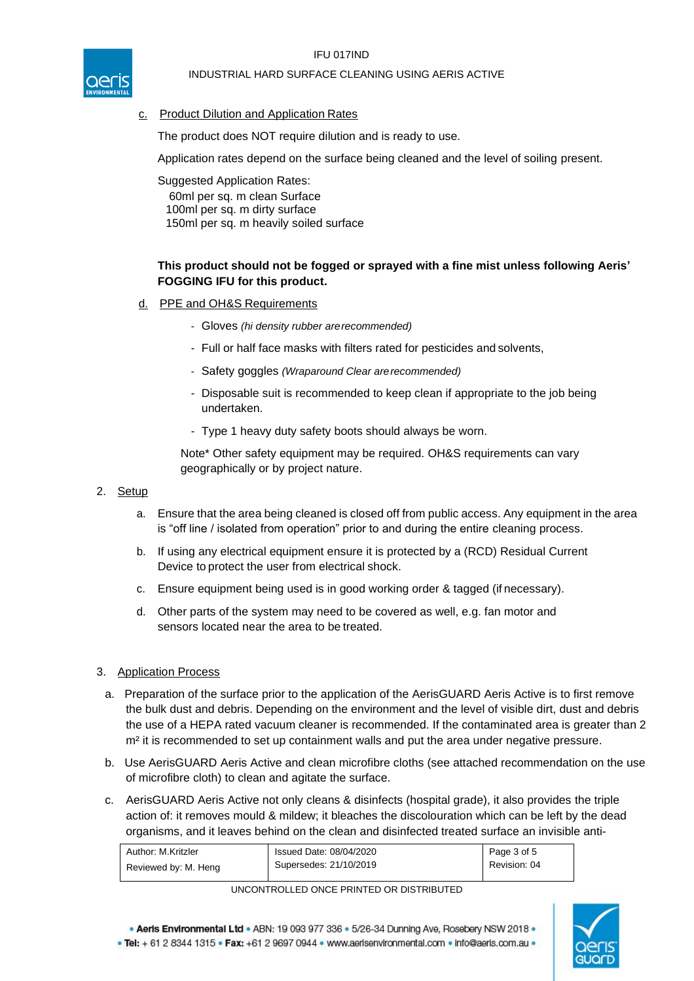

## INDUSTRIAL HARD SURFACE CLEANING USING AERIS ACTIVE

## c. Product Dilution and Application Rates

The product does NOT require dilution and is ready to use.

Application rates depend on the surface being cleaned and the level of soiling present.

Suggested Application Rates:

60ml per sq. m clean Surface 100ml per sq. m dirty surface 150ml per sq. m heavily soiled surface

## **This product should not be fogged or sprayed with a fine mist unless following Aeris' FOGGING IFU for this product.**

- d. PPE and OH&S Requirements
	- Gloves *(hi density rubber arerecommended)*
	- Full or half face masks with filters rated for pesticides and solvents,
	- Safety goggles *(Wraparound Clear arerecommended)*
	- Disposable suit is recommended to keep clean if appropriate to the job being undertaken.
	- Type 1 heavy duty safety boots should always be worn.

Note\* Other safety equipment may be required. OH&S requirements can vary geographically or by project nature.

## 2. Setup

- a. Ensure that the area being cleaned is closed off from public access. Any equipment in the area is "off line / isolated from operation" prior to and during the entire cleaning process.
- b. If using any electrical equipment ensure it is protected by a (RCD) Residual Current Device to protect the user from electrical shock.
- c. Ensure equipment being used is in good working order & tagged (if necessary).
- d. Other parts of the system may need to be covered as well, e.g. fan motor and sensors located near the area to be treated.

## 3. Application Process

- a. Preparation of the surface prior to the application of the AerisGUARD Aeris Active is to first remove the bulk dust and debris. Depending on the environment and the level of visible dirt, dust and debris the use of a HEPA rated vacuum cleaner is recommended. If the contaminated area is greater than 2 m<sup>2</sup> it is recommended to set up containment walls and put the area under negative pressure.
- b. Use AerisGUARD Aeris Active and clean microfibre cloths (see attached recommendation on the use of microfibre cloth) to clean and agitate the surface.
- c. AerisGUARD Aeris Active not only cleans & disinfects (hospital grade), it also provides the triple action of: it removes mould & mildew; it bleaches the discolouration which can be left by the dead organisms, and it leaves behind on the clean and disinfected treated surface an invisible anti-

| Author: M.Kritzler   | Issued Date: 08/04/2020 | Page 3 of 5  |
|----------------------|-------------------------|--------------|
| Reviewed by: M. Heng | Supersedes: 21/10/2019  | Revision: 04 |

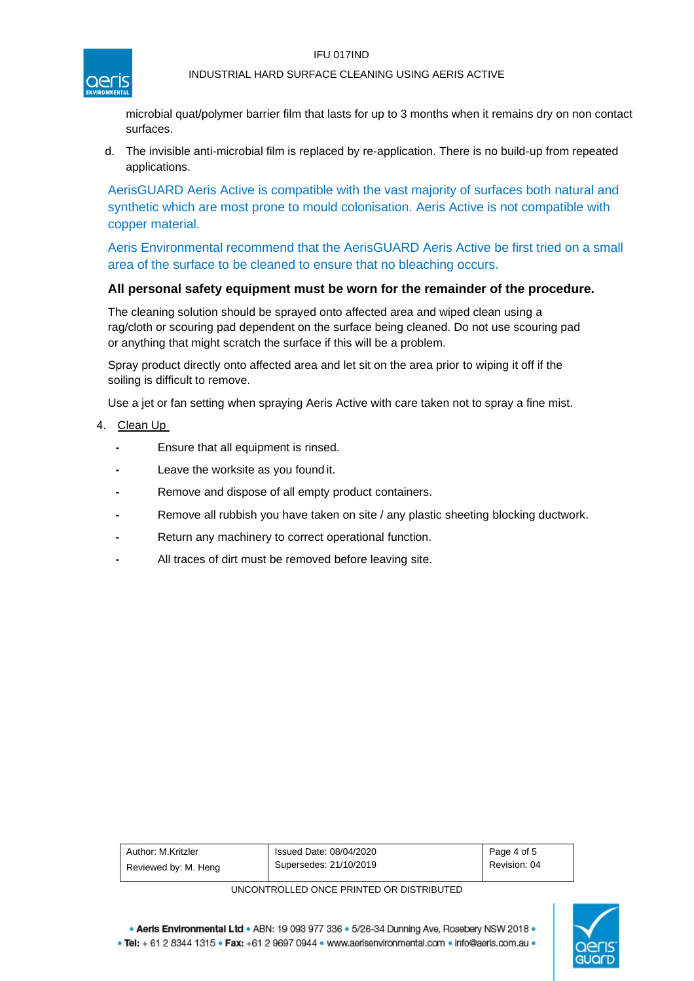#### IFU 017IND



## INDUSTRIAL HARD SURFACE CLEANING USING AERIS ACTIVE

microbial quat/polymer barrier film that lasts for up to 3 months when it remains dry on non contact surfaces.

d. The invisible anti-microbial film is replaced by re-application. There is no build-up from repeated applications.

AerisGUARD Aeris Active is compatible with the vast majority of surfaces both natural and synthetic which are most prone to mould colonisation. Aeris Active is not compatible with copper material.

Aeris Environmental recommend that the AerisGUARD Aeris Active be first tried on a small area of the surface to be cleaned to ensure that no bleaching occurs.

## **All personal safety equipment must be worn for the remainder of the procedure.**

The cleaning solution should be sprayed onto affected area and wiped clean using a rag/cloth or scouring pad dependent on the surface being cleaned. Do not use scouring pad or anything that might scratch the surface if this will be a problem.

Spray product directly onto affected area and let sit on the area prior to wiping it off if the soiling is difficult to remove.

Use a jet or fan setting when spraying Aeris Active with care taken not to spray a fine mist.

- 4. Clean Up
	- **-** Ensure that all equipment is rinsed.
	- Leave the worksite as you found it.
	- **-** Remove and dispose of all empty product containers.
	- **-** Remove all rubbish you have taken on site / any plastic sheeting blocking ductwork.
	- **-** Return any machinery to correct operational function.
	- **-** All traces of dirt must be removed before leaving site.

| Author: M.Kritzler   | Issued Date: 08/04/2020 | Page 4 of 5  |
|----------------------|-------------------------|--------------|
| Reviewed by: M. Heng | Supersedes: 21/10/2019  | Revision: 04 |